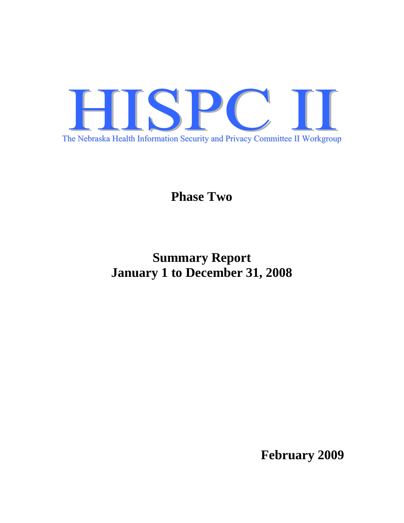

**Phase Two** 

**Summary Report January 1 to December 31, 2008** 

**February 2009**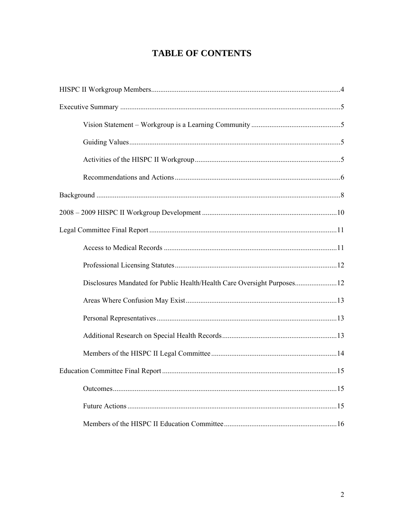# **TABLE OF CONTENTS**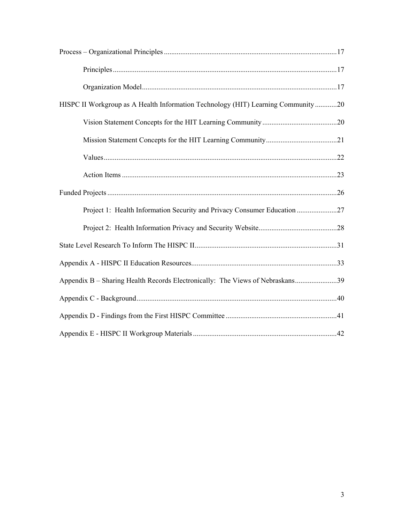| HISPC II Workgroup as A Health Information Technology (HIT) Learning Community 20 |  |  |  |  |
|-----------------------------------------------------------------------------------|--|--|--|--|
|                                                                                   |  |  |  |  |
|                                                                                   |  |  |  |  |
|                                                                                   |  |  |  |  |
|                                                                                   |  |  |  |  |
|                                                                                   |  |  |  |  |
| Project 1: Health Information Security and Privacy Consumer Education 27          |  |  |  |  |
|                                                                                   |  |  |  |  |
|                                                                                   |  |  |  |  |
|                                                                                   |  |  |  |  |
| Appendix B – Sharing Health Records Electronically: The Views of Nebraskans39     |  |  |  |  |
|                                                                                   |  |  |  |  |
|                                                                                   |  |  |  |  |
|                                                                                   |  |  |  |  |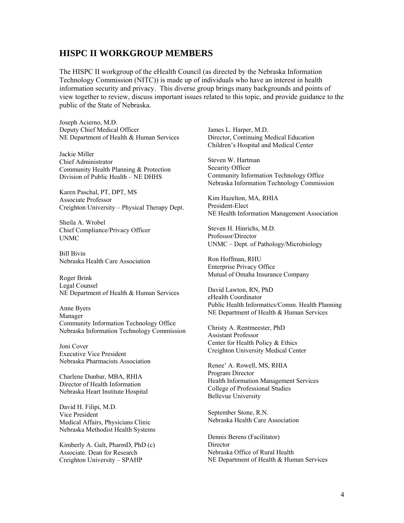## **HISPC II WORKGROUP MEMBERS**

The HISPC II workgroup of the eHealth Council (as directed by the Nebraska Information Technology Commission (NITC)) is made up of individuals who have an interest in health information security and privacy. This diverse group brings many backgrounds and points of view together to review, discuss important issues related to this topic, and provide guidance to the public of the State of Nebraska.

Joseph Acierno, M.D. Deputy Chief Medical Officer NE Department of Health & Human Services

Jackie Miller Chief Administrator Community Health Planning & Protection Division of Public Health – NE DHHS

Karen Paschal, PT, DPT, MS Associate Professor Creighton University – Physical Therapy Dept.

Sheila A. Wrobel Chief Compliance/Privacy Officer UNMC

Bill Bivin Nebraska Health Care Association

Roger Brink Legal Counsel NE Department of Health & Human Services

Anne Byers Manager Community Information Technology Office Nebraska Information Technology Commission

Joni Cover Executive Vice President Nebraska Pharmacists Association

Charlene Dunbar, MBA, RHIA Director of Health Information Nebraska Heart Institute Hospital

David H. Filipi, M.D. Vice President Medical Affairs, Physicians Clinic Nebraska Methodist Health Systems

Kimberly A. Galt, PharmD, PhD (c) Associate. Dean for Research Creighton University – SPAHP

James L. Harper, M.D. Director, Continuing Medical Education Children's Hospital and Medical Center

Steven W. Hartman Security Officer Community Information Technology Office Nebraska Information Technology Commission

Kim Hazelton, MA, RHIA President-Elect NE Health Information Management Association

Steven H. Hinrichs, M.D. Professor/Director UNMC – Dept. of Pathology/Microbiology

Ron Hoffman, RHU Enterprise Privacy Office Mutual of Omaha Insurance Company

David Lawton, RN, PhD eHealth Coordinator Public Health Informatics/Comm. Health Planning NE Department of Health & Human Services

Christy A. Rentmeester, PhD Assistant Professor Center for Health Policy & Ethics Creighton University Medical Center

Renee' A. Rowell, MS, RHIA Program Director Health Information Management Services College of Professional Studies Bellevue University

September Stone, R.N. Nebraska Health Care Association

Dennis Berens (Facilitator) **Director** Nebraska Office of Rural Health NE Department of Health & Human Services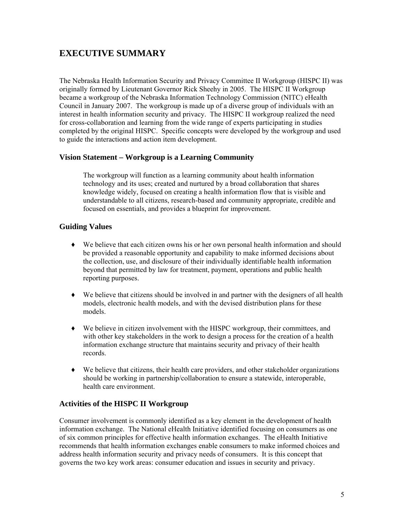# **EXECUTIVE SUMMARY**

The Nebraska Health Information Security and Privacy Committee II Workgroup (HISPC II) was originally formed by Lieutenant Governor Rick Sheehy in 2005. The HISPC II Workgroup became a workgroup of the Nebraska Information Technology Commission (NITC) eHealth Council in January 2007. The workgroup is made up of a diverse group of individuals with an interest in health information security and privacy. The HISPC II workgroup realized the need for cross-collaboration and learning from the wide range of experts participating in studies completed by the original HISPC. Specific concepts were developed by the workgroup and used to guide the interactions and action item development.

## **Vision Statement – Workgroup is a Learning Community**

The workgroup will function as a learning community about health information technology and its uses; created and nurtured by a broad collaboration that shares knowledge widely, focused on creating a health information flow that is visible and understandable to all citizens, research-based and community appropriate, credible and focused on essentials, and provides a blueprint for improvement.

## **Guiding Values**

- ♦ We believe that each citizen owns his or her own personal health information and should be provided a reasonable opportunity and capability to make informed decisions about the collection, use, and disclosure of their individually identifiable health information beyond that permitted by law for treatment, payment, operations and public health reporting purposes.
- ♦ We believe that citizens should be involved in and partner with the designers of all health models, electronic health models, and with the devised distribution plans for these models.
- ♦ We believe in citizen involvement with the HISPC workgroup, their committees, and with other key stakeholders in the work to design a process for the creation of a health information exchange structure that maintains security and privacy of their health records.
- ♦ We believe that citizens, their health care providers, and other stakeholder organizations should be working in partnership/collaboration to ensure a statewide, interoperable, health care environment.

## **Activities of the HISPC II Workgroup**

Consumer involvement is commonly identified as a key element in the development of health information exchange. The National eHealth Initiative identified focusing on consumers as one of six common principles for effective health information exchanges. The eHealth Initiative recommends that health information exchanges enable consumers to make informed choices and address health information security and privacy needs of consumers. It is this concept that governs the two key work areas: consumer education and issues in security and privacy.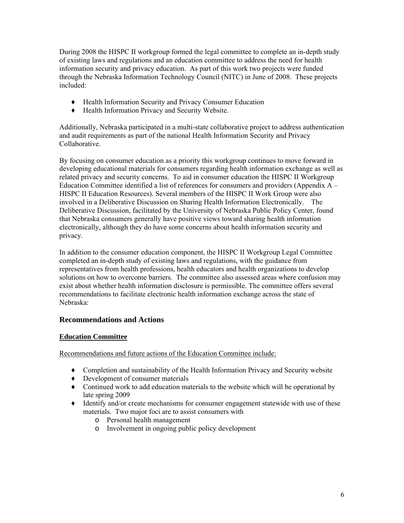During 2008 the HISPC II workgroup formed the legal committee to complete an in-depth study of existing laws and regulations and an education committee to address the need for health information security and privacy education. As part of this work two projects were funded through the Nebraska Information Technology Council (NITC) in June of 2008. These projects included:

- ♦ Health Information Security and Privacy Consumer Education
- ♦ Health Information Privacy and Security Website.

Additionally, Nebraska participated in a multi-state collaborative project to address authentication and audit requirements as part of the national Health Information Security and Privacy Collaborative.

By focusing on consumer education as a priority this workgroup continues to move forward in developing educational materials for consumers regarding health information exchange as well as related privacy and security concerns. To aid in consumer education the HISPC II Workgroup Education Committee identified a list of references for consumers and providers (Appendix A – HISPC II Education Resources). Several members of the HISPC II Work Group were also involved in a Deliberative Discussion on Sharing Health Information Electronically. The Deliberative Discussion, facilitated by the University of Nebraska Public Policy Center, found that Nebraska consumers generally have positive views toward sharing health information electronically, although they do have some concerns about health information security and privacy.

In addition to the consumer education component, the HISPC II Workgroup Legal Committee completed an in-depth study of existing laws and regulations, with the guidance from representatives from health professions, health educators and health organizations to develop solutions on how to overcome barriers. The committee also assessed areas where confusion may exist about whether health information disclosure is permissible. The committee offers several recommendations to facilitate electronic health information exchange across the state of Nebraska:

## **Recommendations and Actions**

## **Education Committee**

Recommendations and future actions of the Education Committee include:

- ♦ Completion and sustainability of the Health Information Privacy and Security website
- ♦ Development of consumer materials
- ♦ Continued work to add education materials to the website which will be operational by late spring 2009
- ♦ Identify and/or create mechanisms for consumer engagement statewide with use of these materials. Two major foci are to assist consumers with
	- o Personal health management
	- o Involvement in ongoing public policy development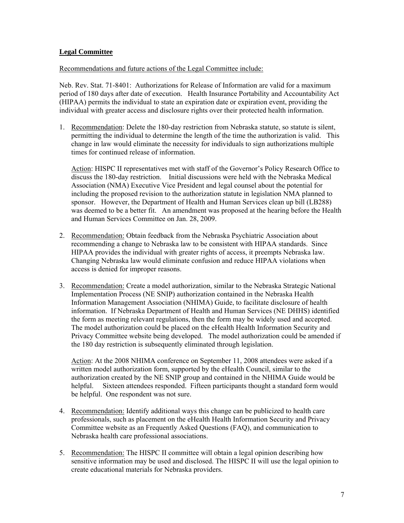### **Legal Committee**

Recommendations and future actions of the Legal Committee include:

Neb. Rev. Stat. 71-8401: Authorizations for Release of Information are valid for a maximum period of 180 days after date of execution. Health Insurance Portability and Accountability Act (HIPAA) permits the individual to state an expiration date or expiration event, providing the individual with greater access and disclosure rights over their protected health information.

1. Recommendation: Delete the 180-day restriction from Nebraska statute, so statute is silent, permitting the individual to determine the length of the time the authorization is valid. This change in law would eliminate the necessity for individuals to sign authorizations multiple times for continued release of information.

Action: HISPC II representatives met with staff of the Governor's Policy Research Office to discuss the 180-day restriction. Initial discussions were held with the Nebraska Medical Association (NMA) Executive Vice President and legal counsel about the potential for including the proposed revision to the authorization statute in legislation NMA planned to sponsor. However, the Department of Health and Human Services clean up bill (LB288) was deemed to be a better fit. An amendment was proposed at the hearing before the Health and Human Services Committee on Jan. 28, 2009.

- 2. Recommendation: Obtain feedback from the Nebraska Psychiatric Association about recommending a change to Nebraska law to be consistent with HIPAA standards. Since HIPAA provides the individual with greater rights of access, it preempts Nebraska law. Changing Nebraska law would eliminate confusion and reduce HIPAA violations when access is denied for improper reasons.
- 3. Recommendation: Create a model authorization, similar to the Nebraska Strategic National Implementation Process (NE SNIP) authorization contained in the Nebraska Health Information Management Association (NHIMA) Guide, to facilitate disclosure of health information. If Nebraska Department of Health and Human Services (NE DHHS) identified the form as meeting relevant regulations, then the form may be widely used and accepted. The model authorization could be placed on the eHealth Health Information Security and Privacy Committee website being developed. The model authorization could be amended if the 180 day restriction is subsequently eliminated through legislation.

Action: At the 2008 NHIMA conference on September 11, 2008 attendees were asked if a written model authorization form, supported by the eHealth Council, similar to the authorization created by the NE SNIP group and contained in the NHIMA Guide would be helpful. Sixteen attendees responded. Fifteen participants thought a standard form would be helpful. One respondent was not sure.

- 4. Recommendation: Identify additional ways this change can be publicized to health care professionals, such as placement on the eHealth Health Information Security and Privacy Committee website as an Frequently Asked Questions (FAQ), and communication to Nebraska health care professional associations.
- 5. Recommendation: The HISPC II committee will obtain a legal opinion describing how sensitive information may be used and disclosed. The HISPC II will use the legal opinion to create educational materials for Nebraska providers.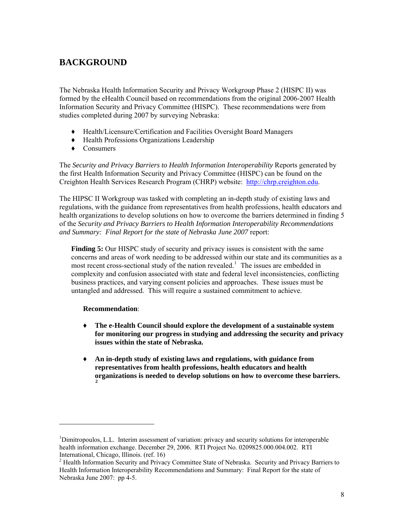# **BACKGROUND**

The Nebraska Health Information Security and Privacy Workgroup Phase 2 (HISPC II) was formed by the eHealth Council based on recommendations from the original 2006-2007 Health Information Security and Privacy Committee (HISPC). These recommendations were from studies completed during 2007 by surveying Nebraska:

- ♦ Health/Licensure/Certification and Facilities Oversight Board Managers
- ♦ Health Professions Organizations Leadership
- ♦ Consumers

The *Security and Privacy Barriers to Health Information Interoperability* Reports generated by the first Health Information Security and Privacy Committee (HISPC) can be found on the Creighton Health Services Research Program (CHRP) website: [http://chrp.creighton.edu](http://chrp.creighton.edu/).

The HIPSC II Workgroup was tasked with completing an in-depth study of existing laws and regulations, with the guidance from representatives from health professions, health educators and health organizations to develop solutions on how to overcome the barriers determined in finding 5 of the *Security and Privacy Barriers to Health Information Interoperability Recommendations and Summary: Final Report for the state of Nebraska June 2007* report:

**Finding 5:** Our HISPC study of security and privacy issues is consistent with the same concerns and areas of work needing to be addressed within our state and its communities as a most recent cross-sectional study of the nation revealed.<sup>[1](#page-7-0)</sup> The issues are embedded in complexity and confusion associated with state and federal level inconsistencies, conflicting business practices, and varying consent policies and approaches. These issues must be untangled and addressed. This will require a sustained commitment to achieve.

#### **Recommendation**:

 $\overline{a}$ 

- ♦ **The e-Health Council should explore the development of a sustainable system for monitoring our progress in studying and addressing the security and privacy issues within the state of Nebraska.**
- ♦ **An in-depth study of existing laws and regulations, with guidance from representatives from health professions, health educators and health organizations is needed to develop solutions on how to overcome these barriers. [2](#page-7-1)**

<span id="page-7-0"></span><sup>&</sup>lt;sup>1</sup>Dimitropoulos, L.L. Interim assessment of variation: privacy and security solutions for interoperable health information exchange. December 29, 2006. RTI Project No. 0209825.000.004.002. RTI International, Chicago, Illinois. (ref. 16) 2

<span id="page-7-1"></span><sup>&</sup>lt;sup>2</sup> Health Information Security and Privacy Committee State of Nebraska. Security and Privacy Barriers to Health Information Interoperability Recommendations and Summary: Final Report for the state of Nebraska June 2007: pp 4-5.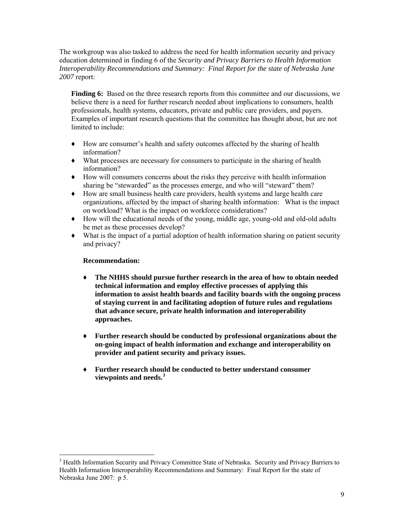The workgroup was also tasked to address the need for health information security and privacy education determined in finding 6 of the *Security and Privacy Barriers to Health Information Interoperability Recommendations and Summary: Final Report for the state of Nebraska June 2007* report:

**Finding 6:** Based on the three research reports from this committee and our discussions, we believe there is a need for further research needed about implications to consumers, health professionals, health systems, educators, private and public care providers, and payers. Examples of important research questions that the committee has thought about, but are not limited to include:

- ♦ How are consumer's health and safety outcomes affected by the sharing of health information?
- ♦ What processes are necessary for consumers to participate in the sharing of health information?
- ♦ How will consumers concerns about the risks they perceive with health information sharing be "stewarded" as the processes emerge, and who will "steward" them?
- ♦ How are small business health care providers, health systems and large health care organizations, affected by the impact of sharing health information: What is the impact on workload? What is the impact on workforce considerations?
- ♦ How will the educational needs of the young, middle age, young-old and old-old adults be met as these processes develop?
- ♦ What is the impact of a partial adoption of health information sharing on patient security and privacy?

#### **Recommendation:**

 $\overline{a}$ 

- ♦ **The NHHS should pursue further research in the area of how to obtain needed technical information and employ effective processes of applying this information to assist health boards and facility boards with the ongoing process of staying current in and facilitating adoption of future rules and regulations that advance secure, private health information and interoperability approaches.**
- ♦ **Further research should be conducted by professional organizations about the on-going impact of health information and exchange and interoperability on provider and patient security and privacy issues.**
- ♦ **Further research should be conducted to better understand consumer viewpoints and needs.[3](#page-8-0)**

<span id="page-8-0"></span><sup>&</sup>lt;sup>3</sup> Health Information Security and Privacy Committee State of Nebraska. Security and Privacy Barriers to Health Information Interoperability Recommendations and Summary: Final Report for the state of Nebraska June 2007: p 5.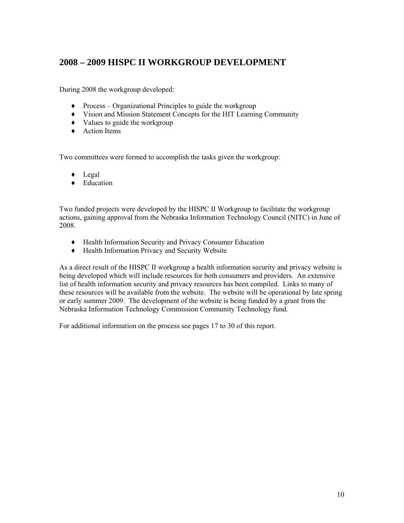## **2008 – 2009 HISPC II WORKGROUP DEVELOPMENT**

During 2008 the workgroup developed:

- $\blacklozenge$  Process Organizational Principles to guide the workgroup
- ♦ Vision and Mission Statement Concepts for the HIT Learning Community
- ♦ Values to guide the workgroup
- ♦ Action Items

Two committees were formed to accomplish the tasks given the workgroup:

- ♦ Legal
- ♦ Education

Two funded projects were developed by the HISPC II Workgroup to facilitate the workgroup actions, gaining approval from the Nebraska Information Technology Council (NITC) in June of 2008.

- ♦ Health Information Security and Privacy Consumer Education
- ♦ Health Information Privacy and Security Website

As a direct result of the HISPC II workgroup a health information security and privacy website is being developed which will include resources for both consumers and providers. An extensive list of health information security and privacy resources has been compiled. Links to many of these resources will be available from the website. The website will be operational by late spring or early summer 2009. The development of the website is being funded by a grant from the Nebraska Information Technology Commission Community Technology fund.

For additional information on the process see pages 17 to 30 of this report.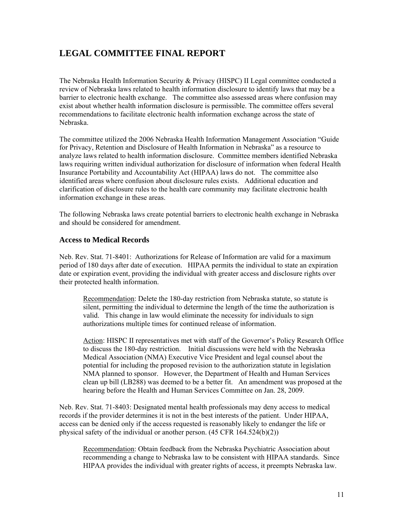# **LEGAL COMMITTEE FINAL REPORT**

The Nebraska Health Information Security & Privacy (HISPC) II Legal committee conducted a review of Nebraska laws related to health information disclosure to identify laws that may be a barrier to electronic health exchange. The committee also assessed areas where confusion may exist about whether health information disclosure is permissible. The committee offers several recommendations to facilitate electronic health information exchange across the state of Nebraska.

The committee utilized the 2006 Nebraska Health Information Management Association "Guide for Privacy, Retention and Disclosure of Health Information in Nebraska" as a resource to analyze laws related to health information disclosure. Committee members identified Nebraska laws requiring written individual authorization for disclosure of information when federal Health Insurance Portability and Accountability Act (HIPAA) laws do not. The committee also identified areas where confusion about disclosure rules exists. Additional education and clarification of disclosure rules to the health care community may facilitate electronic health information exchange in these areas.

The following Nebraska laws create potential barriers to electronic health exchange in Nebraska and should be considered for amendment.

### **Access to Medical Records**

Neb. Rev. Stat. 71-8401: Authorizations for Release of Information are valid for a maximum period of 180 days after date of execution. HIPAA permits the individual to state an expiration date or expiration event, providing the individual with greater access and disclosure rights over their protected health information.

Recommendation: Delete the 180-day restriction from Nebraska statute, so statute is silent, permitting the individual to determine the length of the time the authorization is valid. This change in law would eliminate the necessity for individuals to sign authorizations multiple times for continued release of information.

Action: HISPC II representatives met with staff of the Governor's Policy Research Office to discuss the 180-day restriction. Initial discussions were held with the Nebraska Medical Association (NMA) Executive Vice President and legal counsel about the potential for including the proposed revision to the authorization statute in legislation NMA planned to sponsor. However, the Department of Health and Human Services clean up bill (LB288) was deemed to be a better fit. An amendment was proposed at the hearing before the Health and Human Services Committee on Jan. 28, 2009.

Neb. Rev. Stat. 71-8403: Designated mental health professionals may deny access to medical records if the provider determines it is not in the best interests of the patient. Under HIPAA, access can be denied only if the access requested is reasonably likely to endanger the life or physical safety of the individual or another person. (45 CFR 164.524(b)(2))

Recommendation: Obtain feedback from the Nebraska Psychiatric Association about recommending a change to Nebraska law to be consistent with HIPAA standards. Since HIPAA provides the individual with greater rights of access, it preempts Nebraska law.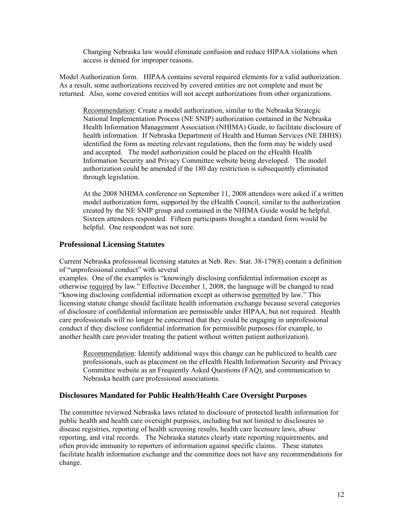Changing Nebraska law would eliminate confusion and reduce HIPAA violations when access is denied for improper reasons.

Model Authorization form. HIPAA contains several required elements for a valid authorization. As a result, some authorizations received by covered entities are not complete and must be returned. Also, some covered entities will not accept authorizations from other organizations.

Recommendation: Create a model authorization, similar to the Nebraska Strategic National Implementation Process (NE SNIP) authorization contained in the Nebraska Health Information Management Association (NHIMA) Guide, to facilitate disclosure of health information. If Nebraska Department of Health and Human Services (NE DHHS) identified the form as meeting relevant regulations, then the form may be widely used and accepted. The model authorization could be placed on the eHealth Health Information Security and Privacy Committee website being developed. The model authorization could be amended if the 180 day restriction is subsequently eliminated through legislation.

At the 2008 NHIMA conference on September 11, 2008 attendees were asked if a written model authorization form, supported by the eHealth Council, similar to the authorization created by the NE SNIP group and contained in the NHIMA Guide would be helpful. Sixteen attendees responded. Fifteen participants thought a standard form would be helpful. One respondent was not sure.

#### **Professional Licensing Statutes**

Current Nebraska professional licensing statutes at Neb. Rev. Stat. 38-179(8) contain a definition of "unprofessional conduct" with several

examples. One of the examples is "knowingly disclosing confidential information except as otherwise required by law." Effective December 1, 2008, the language will be changed to read "knowing disclosing confidential information except as otherwise permitted by law." This licensing statute change should facilitate health information exchange because several categories of disclosure of confidential information are permissible under HIPAA, but not required. Health care professionals will no longer be concerned that they could be engaging in unprofessional conduct if they disclose confidential information for permissible purposes (for example, to another health care provider treating the patient without written patient authorization).

Recommendation: Identify additional ways this change can be publicized to health care professionals, such as placement on the eHealth Health Information Security and Privacy Committee website as an Frequently Asked Questions (FAQ), and communication to Nebraska health care professional associations.

#### **Disclosures Mandated for Public Health/Health Care Oversight Purposes**

The committee reviewed Nebraska laws related to disclosure of protected health information for public health and health care oversight purposes, including but not limited to disclosures to disease registries, reporting of health screening results, health care licensure laws, abuse reporting, and vital records. The Nebraska statutes clearly state reporting requirements, and often provide immunity to reporters of information against specific claims. These statutes facilitate health information exchange and the committee does not have any recommendations for change.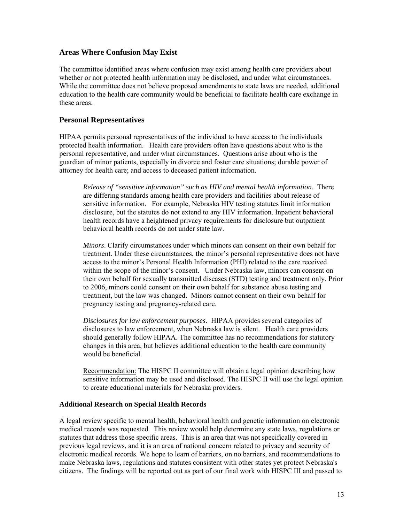### **Areas Where Confusion May Exist**

The committee identified areas where confusion may exist among health care providers about whether or not protected health information may be disclosed, and under what circumstances. While the committee does not believe proposed amendments to state laws are needed, additional education to the health care community would be beneficial to facilitate health care exchange in these areas.

### **Personal Representatives**

HIPAA permits personal representatives of the individual to have access to the individuals protected health information. Health care providers often have questions about who is the personal representative, and under what circumstances. Questions arise about who is the guardian of minor patients, especially in divorce and foster care situations; durable power of attorney for health care; and access to deceased patient information.

*Release of "sensitive information" such as HIV and mental health information.* There are differing standards among health care providers and facilities about release of sensitive information. For example, Nebraska HIV testing statutes limit information disclosure, but the statutes do not extend to any HIV information. Inpatient behavioral health records have a heightened privacy requirements for disclosure but outpatient behavioral health records do not under state law.

*Minors*. Clarify circumstances under which minors can consent on their own behalf for treatment. Under these circumstances, the minor's personal representative does not have access to the minor's Personal Health Information (PHI) related to the care received within the scope of the minor's consent. Under Nebraska law, minors can consent on their own behalf for sexually transmitted diseases (STD) testing and treatment only. Prior to 2006, minors could consent on their own behalf for substance abuse testing and treatment, but the law was changed. Minors cannot consent on their own behalf for pregnancy testing and pregnancy-related care.

*Disclosures for law enforcement purposes*. HIPAA provides several categories of disclosures to law enforcement, when Nebraska law is silent. Health care providers should generally follow HIPAA. The committee has no recommendations for statutory changes in this area, but believes additional education to the health care community would be beneficial.

Recommendation: The HISPC II committee will obtain a legal opinion describing how sensitive information may be used and disclosed. The HISPC II will use the legal opinion to create educational materials for Nebraska providers.

#### **Additional Research on Special Health Records**

A legal review specific to mental health, behavioral health and genetic information on electronic medical records was requested. This review would help determine any state laws, regulations or statutes that address those specific areas. This is an area that was not specifically covered in previous legal reviews, and it is an area of national concern related to privacy and security of electronic medical records. We hope to learn of barriers, on no barriers, and recommendations to make Nebraska laws, regulations and statutes consistent with other states yet protect Nebraska's citizens. The findings will be reported out as part of our final work with HISPC III and passed to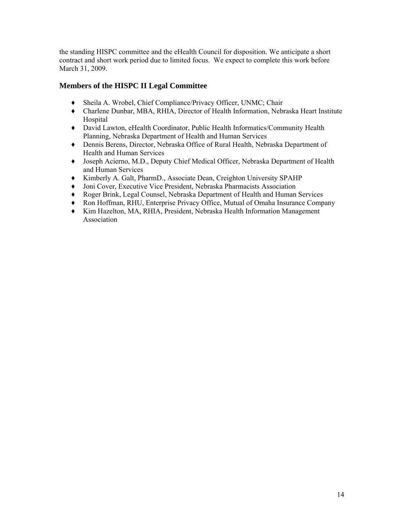the standing HISPC committee and the eHealth Council for disposition. We anticipate a short contract and short work period due to limited focus. We expect to complete this work before March 31, 2009.

## **Members of the HISPC II Legal Committee**

- ♦ Sheila A. Wrobel, Chief Compliance/Privacy Officer, UNMC; Chair
- ♦ Charlene Dunbar, MBA, RHIA, Director of Health Information, Nebraska Heart Institute Hospital
- ♦ David Lawton, eHealth Coordinator, Public Health Informatics/Community Health Planning, Nebraska Department of Health and Human Services
- ♦ Dennis Berens, Director, Nebraska Office of Rural Health, Nebraska Department of Health and Human Services
- ♦ Joseph Acierno, M.D., Deputy Chief Medical Officer, Nebraska Department of Health and Human Services
- ♦ Kimberly A. Galt, PharmD., Associate Dean, Creighton University SPAHP
- ♦ Joni Cover, Executive Vice President, Nebraska Pharmacists Association
- ♦ Roger Brink, Legal Counsel, Nebraska Department of Health and Human Services
- ♦ Ron Hoffman, RHU, Enterprise Privacy Office, Mutual of Omaha Insurance Company
- ♦ Kim Hazelton, MA, RHIA, President, Nebraska Health Information Management Association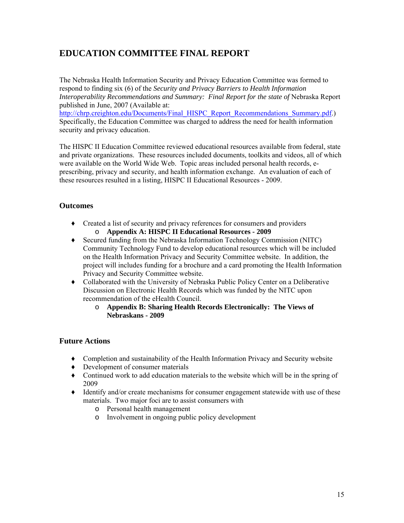# **EDUCATION COMMITTEE FINAL REPORT**

The Nebraska Health Information Security and Privacy Education Committee was formed to respond to finding six (6) of the *Security and Privacy Barriers to Health Information Interoperability Recommendations and Summary: Final Report for the state of Nebraska Report* published in June, 2007 (Available at:

[http://chrp.creighton.edu/Documents/Final\\_HISPC\\_Report\\_Recommendations\\_Summary.pdf.](http://chrp.creighton.edu/Documents/Final_HISPC_Report_Recommendations_Summary.pdf)) Specifically, the Education Committee was charged to address the need for health information security and privacy education.

The HISPC II Education Committee reviewed educational resources available from federal, state and private organizations. These resources included documents, toolkits and videos, all of which were available on the World Wide Web. Topic areas included personal health records, eprescribing, privacy and security, and health information exchange. An evaluation of each of these resources resulted in a listing, HISPC II Educational Resources - 2009.

## **Outcomes**

- ♦ Created a list of security and privacy references for consumers and providers o **Appendix A: HISPC II Educational Resources - 2009**
- ♦ Secured funding from the Nebraska Information Technology Commission (NITC) Community Technology Fund to develop educational resources which will be included on the Health Information Privacy and Security Committee website. In addition, the project will includes funding for a brochure and a card promoting the Health Information Privacy and Security Committee website.
- ♦ Collaborated with the University of Nebraska Public Policy Center on a Deliberative Discussion on Electronic Health Records which was funded by the NITC upon recommendation of the eHealth Council.
	- o **Appendix B: Sharing Health Records Electronically: The Views of Nebraskans - 2009**

## **Future Actions**

- ♦ Completion and sustainability of the Health Information Privacy and Security website
- ♦ Development of consumer materials
- ♦ Continued work to add education materials to the website which will be in the spring of 2009
- ♦ Identify and/or create mechanisms for consumer engagement statewide with use of these materials. Two major foci are to assist consumers with
	- o Personal health management
	- o Involvement in ongoing public policy development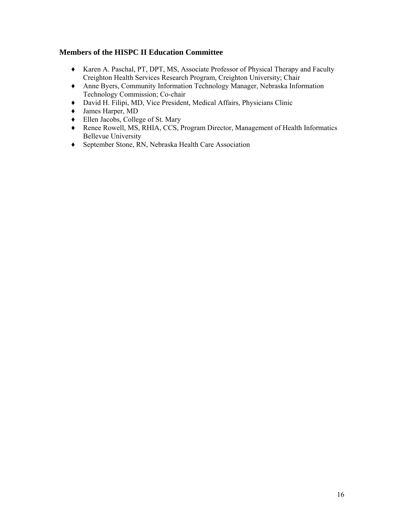## **Members of the HISPC II Education Committee**

- ♦ Karen A. Paschal, PT, DPT, MS, Associate Professor of Physical Therapy and Faculty Creighton Health Services Research Program, Creighton University; Chair
- ♦ Anne Byers, Community Information Technology Manager, Nebraska Information Technology Commission; Co-chair
- ♦ David H. Filipi, MD, Vice President, Medical Affairs, Physicians Clinic
- ♦ James Harper, MD
- ♦ Ellen Jacobs, College of St. Mary
- ♦ Renee Rowell, MS, RHIA, CCS, Program Director, Management of Health Informatics Bellevue University
- ♦ September Stone, RN, Nebraska Health Care Association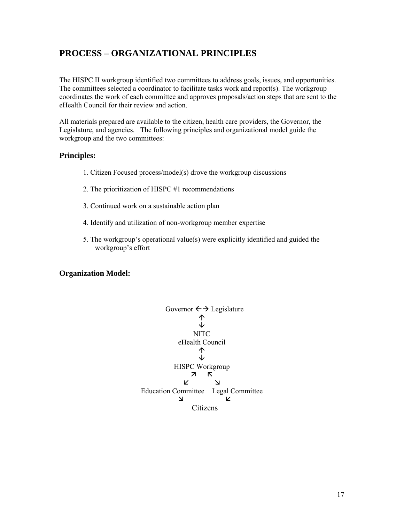## **PROCESS – ORGANIZATIONAL PRINCIPLES**

The HISPC II workgroup identified two committees to address goals, issues, and opportunities. The committees selected a coordinator to facilitate tasks work and report(s). The workgroup coordinates the work of each committee and approves proposals/action steps that are sent to the eHealth Council for their review and action.

All materials prepared are available to the citizen, health care providers, the Governor, the Legislature, and agencies. The following principles and organizational model guide the workgroup and the two committees:

### **Principles:**

- 1. Citizen Focused process/model(s) drove the workgroup discussions
- 2. The prioritization of HISPC #1 recommendations
- 3. Continued work on a sustainable action plan
- 4. Identify and utilization of non-workgroup member expertise
- 5. The workgroup's operational value(s) were explicitly identified and guided the workgroup's effort

## **Organization Model:**

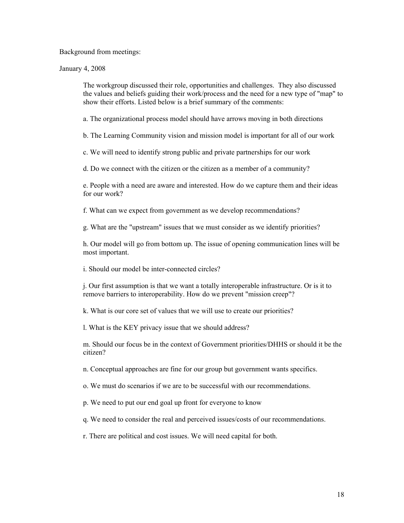Background from meetings:

January 4, 2008

The workgroup discussed their role, opportunities and challenges. They also discussed the values and beliefs guiding their work/process and the need for a new type of "map" to show their efforts. Listed below is a brief summary of the comments:

a. The organizational process model should have arrows moving in both directions

b. The Learning Community vision and mission model is important for all of our work

c. We will need to identify strong public and private partnerships for our work

d. Do we connect with the citizen or the citizen as a member of a community?

e. People with a need are aware and interested. How do we capture them and their ideas for our work?

f. What can we expect from government as we develop recommendations?

g. What are the "upstream" issues that we must consider as we identify priorities?

h. Our model will go from bottom up. The issue of opening communication lines will be most important.

i. Should our model be inter-connected circles?

j. Our first assumption is that we want a totally interoperable infrastructure. Or is it to remove barriers to interoperability. How do we prevent "mission creep"?

k. What is our core set of values that we will use to create our priorities?

l. What is the KEY privacy issue that we should address?

m. Should our focus be in the context of Government priorities/DHHS or should it be the citizen?

n. Conceptual approaches are fine for our group but government wants specifics.

o. We must do scenarios if we are to be successful with our recommendations.

p. We need to put our end goal up front for everyone to know

q. We need to consider the real and perceived issues/costs of our recommendations.

r. There are political and cost issues. We will need capital for both.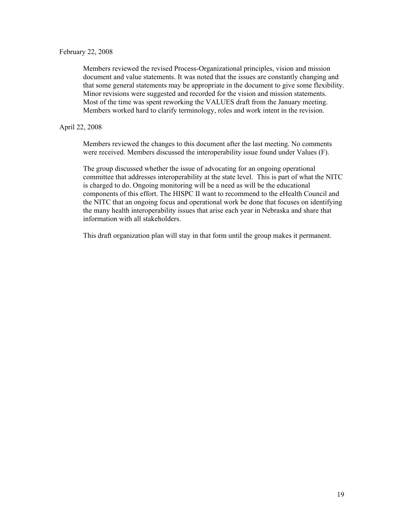#### February 22, 2008

Members reviewed the revised Process-Organizational principles, vision and mission document and value statements. It was noted that the issues are constantly changing and that some general statements may be appropriate in the document to give some flexibility. Minor revisions were suggested and recorded for the vision and mission statements. Most of the time was spent reworking the VALUES draft from the January meeting. Members worked hard to clarify terminology, roles and work intent in the revision.

#### April 22, 2008

Members reviewed the changes to this document after the last meeting. No comments were received. Members discussed the interoperability issue found under Values (F).

The group discussed whether the issue of advocating for an ongoing operational committee that addresses interoperability at the state level. This is part of what the NITC is charged to do. Ongoing monitoring will be a need as will be the educational components of this effort. The HISPC II want to recommend to the eHealth Council and the NITC that an ongoing focus and operational work be done that focuses on identifying the many health interoperability issues that arise each year in Nebraska and share that information with all stakeholders.

This draft organization plan will stay in that form until the group makes it permanent.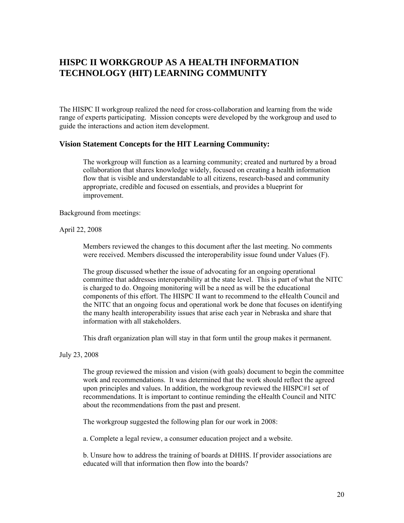# **HISPC II WORKGROUP AS A HEALTH INFORMATION TECHNOLOGY (HIT) LEARNING COMMUNITY**

The HISPC II workgroup realized the need for cross-collaboration and learning from the wide range of experts participating. Mission concepts were developed by the workgroup and used to guide the interactions and action item development.

#### **Vision Statement Concepts for the HIT Learning Community:**

The workgroup will function as a learning community; created and nurtured by a broad collaboration that shares knowledge widely, focused on creating a health information flow that is visible and understandable to all citizens, research-based and community appropriate, credible and focused on essentials, and provides a blueprint for improvement.

Background from meetings:

April 22, 2008

Members reviewed the changes to this document after the last meeting. No comments were received. Members discussed the interoperability issue found under Values (F).

The group discussed whether the issue of advocating for an ongoing operational committee that addresses interoperability at the state level. This is part of what the NITC is charged to do. Ongoing monitoring will be a need as will be the educational components of this effort. The HISPC II want to recommend to the eHealth Council and the NITC that an ongoing focus and operational work be done that focuses on identifying the many health interoperability issues that arise each year in Nebraska and share that information with all stakeholders.

This draft organization plan will stay in that form until the group makes it permanent.

#### July 23, 2008

The group reviewed the mission and vision (with goals) document to begin the committee work and recommendations. It was determined that the work should reflect the agreed upon principles and values. In addition, the workgroup reviewed the HISPC#1 set of recommendations. It is important to continue reminding the eHealth Council and NITC about the recommendations from the past and present.

The workgroup suggested the following plan for our work in 2008:

a. Complete a legal review, a consumer education project and a website.

b. Unsure how to address the training of boards at DHHS. If provider associations are educated will that information then flow into the boards?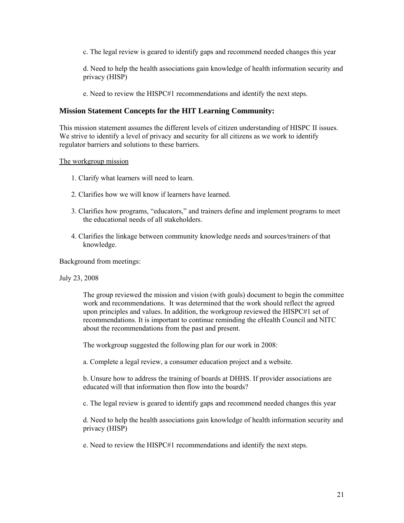c. The legal review is geared to identify gaps and recommend needed changes this year

d. Need to help the health associations gain knowledge of health information security and privacy (HISP)

e. Need to review the HISPC#1 recommendations and identify the next steps.

#### **Mission Statement Concepts for the HIT Learning Community:**

This mission statement assumes the different levels of citizen understanding of HISPC II issues. We strive to identify a level of privacy and security for all citizens as we work to identify regulator barriers and solutions to these barriers.

#### The workgroup mission

- 1. Clarify what learners will need to learn.
- 2. Clarifies how we will know if learners have learned.
- 3. Clarifies how programs, "educators," and trainers define and implement programs to meet the educational needs of all stakeholders.
- 4. Clarifies the linkage between community knowledge needs and sources/trainers of that knowledge.

Background from meetings:

#### July 23, 2008

The group reviewed the mission and vision (with goals) document to begin the committee work and recommendations. It was determined that the work should reflect the agreed upon principles and values. In addition, the workgroup reviewed the HISPC#1 set of recommendations. It is important to continue reminding the eHealth Council and NITC about the recommendations from the past and present.

The workgroup suggested the following plan for our work in 2008:

a. Complete a legal review, a consumer education project and a website.

b. Unsure how to address the training of boards at DHHS. If provider associations are educated will that information then flow into the boards?

c. The legal review is geared to identify gaps and recommend needed changes this year

d. Need to help the health associations gain knowledge of health information security and privacy (HISP)

e. Need to review the HISPC#1 recommendations and identify the next steps.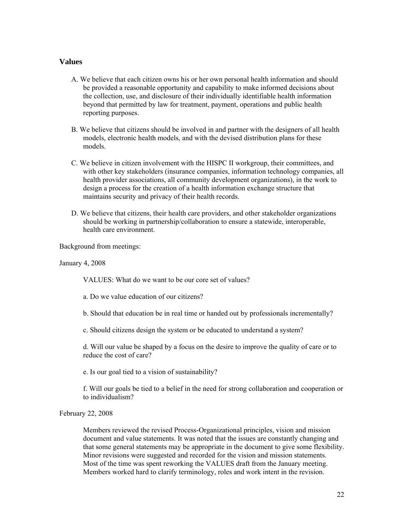### **Values**

- A. We believe that each citizen owns his or her own personal health information and should be provided a reasonable opportunity and capability to make informed decisions about the collection, use, and disclosure of their individually identifiable health information beyond that permitted by law for treatment, payment, operations and public health reporting purposes.
- B. We believe that citizens should be involved in and partner with the designers of all health models, electronic health models, and with the devised distribution plans for these models.
- C. We believe in citizen involvement with the HISPC II workgroup, their committees, and with other key stakeholders (insurance companies, information technology companies, all health provider associations, all community development organizations), in the work to design a process for the creation of a health information exchange structure that maintains security and privacy of their health records.
- D. We believe that citizens, their health care providers, and other stakeholder organizations should be working in partnership/collaboration to ensure a statewide, interoperable, health care environment.

Background from meetings:

January 4, 2008

VALUES: What do we want to be our core set of values?

- a. Do we value education of our citizens?
- b. Should that education be in real time or handed out by professionals incrementally?
- c. Should citizens design the system or be educated to understand a system?

d. Will our value be shaped by a focus on the desire to improve the quality of care or to reduce the cost of care?

e. Is our goal tied to a vision of sustainability?

f. Will our goals be tied to a belief in the need for strong collaboration and cooperation or to individualism?

#### February 22, 2008

Members reviewed the revised Process-Organizational principles, vision and mission document and value statements. It was noted that the issues are constantly changing and that some general statements may be appropriate in the document to give some flexibility. Minor revisions were suggested and recorded for the vision and mission statements. Most of the time was spent reworking the VALUES draft from the January meeting. Members worked hard to clarify terminology, roles and work intent in the revision.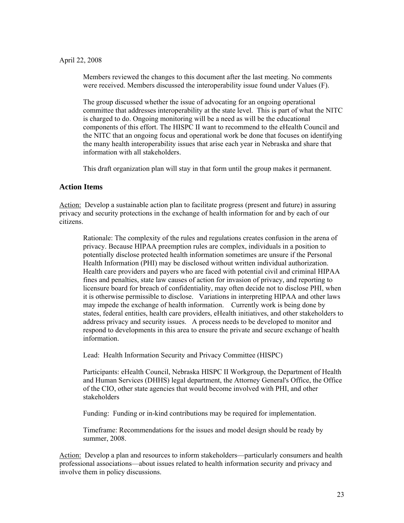Members reviewed the changes to this document after the last meeting. No comments were received. Members discussed the interoperability issue found under Values (F).

The group discussed whether the issue of advocating for an ongoing operational committee that addresses interoperability at the state level. This is part of what the NITC is charged to do. Ongoing monitoring will be a need as will be the educational components of this effort. The HISPC II want to recommend to the eHealth Council and the NITC that an ongoing focus and operational work be done that focuses on identifying the many health interoperability issues that arise each year in Nebraska and share that information with all stakeholders.

This draft organization plan will stay in that form until the group makes it permanent.

### **Action Items**

Action:Develop a sustainable action plan to facilitate progress (present and future) in assuring privacy and security protections in the exchange of health information for and by each of our citizens.

Rationale: The complexity of the rules and regulations creates confusion in the arena of privacy. Because HIPAA preemption rules are complex, individuals in a position to potentially disclose protected health information sometimes are unsure if the Personal Health Information (PHI) may be disclosed without written individual authorization. Health care providers and payers who are faced with potential civil and criminal HIPAA fines and penalties, state law causes of action for invasion of privacy, and reporting to licensure board for breach of confidentiality, may often decide not to disclose PHI, when it is otherwise permissible to disclose. Variations in interpreting HIPAA and other laws may impede the exchange of health information. Currently work is being done by states, federal entities, health care providers, eHealth initiatives, and other stakeholders to address privacy and security issues. A process needs to be developed to monitor and respond to developments in this area to ensure the private and secure exchange of health information.

Lead: Health Information Security and Privacy Committee (HISPC)

Participants: eHealth Council, Nebraska HISPC II Workgroup, the Department of Health and Human Services (DHHS) legal department, the Attorney General's Office, the Office of the CIO, other state agencies that would become involved with PHI, and other stakeholders

Funding: Funding or in-kind contributions may be required for implementation.

Timeframe: Recommendations for the issues and model design should be ready by summer, 2008.

Action:Develop a plan and resources to inform stakeholders—particularly consumers and health professional associations—about issues related to health information security and privacy and involve them in policy discussions.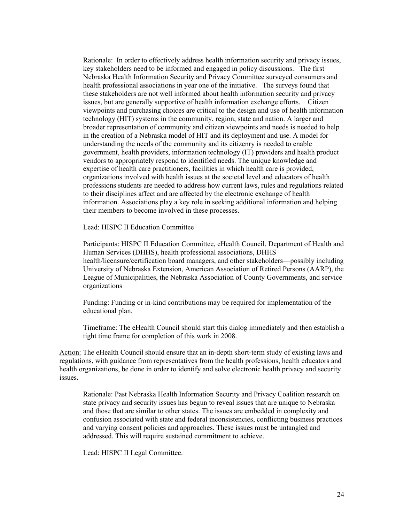Rationale: In order to effectively address health information security and privacy issues, key stakeholders need to be informed and engaged in policy discussions. The first Nebraska Health Information Security and Privacy Committee surveyed consumers and health professional associations in year one of the initiative. The surveys found that these stakeholders are not well informed about health information security and privacy issues, but are generally supportive of health information exchange efforts. Citizen viewpoints and purchasing choices are critical to the design and use of health information technology (HIT) systems in the community, region, state and nation. A larger and broader representation of community and citizen viewpoints and needs is needed to help in the creation of a Nebraska model of HIT and its deployment and use. A model for understanding the needs of the community and its citizenry is needed to enable government, health providers, information technology (IT) providers and health product vendors to appropriately respond to identified needs. The unique knowledge and expertise of health care practitioners, facilities in which health care is provided, organizations involved with health issues at the societal level and educators of health professions students are needed to address how current laws, rules and regulations related to their disciplines affect and are affected by the electronic exchange of health information. Associations play a key role in seeking additional information and helping their members to become involved in these processes.

Lead: HISPC II Education Committee

Participants: HISPC II Education Committee, eHealth Council, Department of Health and Human Services (DHHS), health professional associations, DHHS health/licensure/certification board managers, and other stakeholders—possibly including University of Nebraska Extension, American Association of Retired Persons (AARP), the League of Municipalities, the Nebraska Association of County Governments, and service organizations

Funding: Funding or in-kind contributions may be required for implementation of the educational plan.

Timeframe: The eHealth Council should start this dialog immediately and then establish a tight time frame for completion of this work in 2008.

Action: The eHealth Council should ensure that an in-depth short-term study of existing laws and regulations, with guidance from representatives from the health professions, health educators and health organizations, be done in order to identify and solve electronic health privacy and security issues.

Rationale: Past Nebraska Health Information Security and Privacy Coalition research on state privacy and security issues has begun to reveal issues that are unique to Nebraska and those that are similar to other states. The issues are embedded in complexity and confusion associated with state and federal inconsistencies, conflicting business practices and varying consent policies and approaches. These issues must be untangled and addressed. This will require sustained commitment to achieve.

Lead: HISPC II Legal Committee.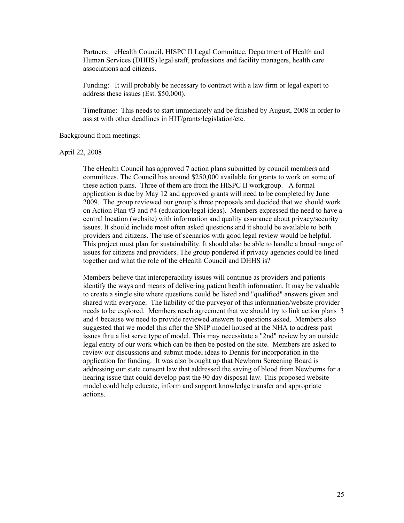Partners:eHealth Council, HISPC II Legal Committee, Department of Health and Human Services (DHHS) legal staff, professions and facility managers, health care associations and citizens.

Funding: It will probably be necessary to contract with a law firm or legal expert to address these issues (Est. \$50,000).

Timeframe: This needs to start immediately and be finished by August, 2008 in order to assist with other deadlines in HIT/grants/legislation/etc.

Background from meetings:

April 22, 2008

The eHealth Council has approved 7 action plans submitted by council members and committees. The Council has around \$250,000 available for grants to work on some of these action plans. Three of them are from the HISPC II workgroup. A formal application is due by May 12 and approved grants will need to be completed by June 2009. The group reviewed our group's three proposals and decided that we should work on Action Plan #3 and #4 (education/legal ideas). Members expressed the need to have a central location (website) with information and quality assurance about privacy/security issues. It should include most often asked questions and it should be available to both providers and citizens. The use of scenarios with good legal review would be helpful. This project must plan for sustainability. It should also be able to handle a broad range of issues for citizens and providers. The group pondered if privacy agencies could be lined together and what the role of the eHealth Council and DHHS is?

Members believe that interoperability issues will continue as providers and patients identify the ways and means of delivering patient health information. It may be valuable to create a single site where questions could be listed and "qualified" answers given and shared with everyone. The liability of the purveyor of this information/website provider needs to be explored. Members reach agreement that we should try to link action plans 3 and 4 because we need to provide reviewed answers to questions asked. Members also suggested that we model this after the SNIP model housed at the NHA to address past issues thru a list serve type of model. This may necessitate a "2nd" review by an outside legal entity of our work which can be then be posted on the site. Members are asked to review our discussions and submit model ideas to Dennis for incorporation in the application for funding. It was also brought up that Newborn Screening Board is addressing our state consent law that addressed the saving of blood from Newborns for a hearing issue that could develop past the 90 day disposal law. This proposed website model could help educate, inform and support knowledge transfer and appropriate actions.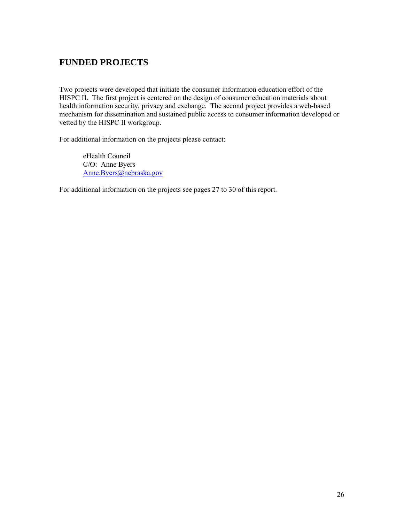# **FUNDED PROJECTS**

Two projects were developed that initiate the consumer information education effort of the HISPC II. The first project is centered on the design of consumer education materials about health information security, privacy and exchange. The second project provides a web-based mechanism for dissemination and sustained public access to consumer information developed or vetted by the HISPC II workgroup.

For additional information on the projects please contact:

eHealth Council C/O: Anne Byers [Anne.Byers@nebraska.gov](mailto:Anne.Byers@nebraska.gov)

For additional information on the projects see pages 27 to 30 of this report.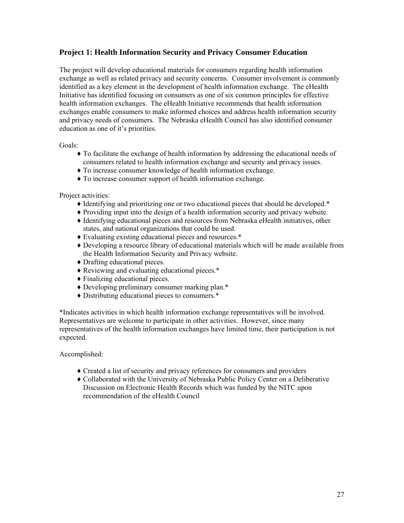## **Project 1: Health Information Security and Privacy Consumer Education**

The project will develop educational materials for consumers regarding health information exchange as well as related privacy and security concerns. Consumer involvement is commonly identified as a key element in the development of health information exchange. The eHealth Initiative has identified focusing on consumers as one of six common principles for effective health information exchanges. The eHealth Initiative recommends that health information exchanges enable consumers to make informed choices and address health information security and privacy needs of consumers. The Nebraska eHealth Council has also identified consumer education as one of it's priorities.

Goals:

- ♦ To facilitate the exchange of health information by addressing the educational needs of consumers related to health information exchange and security and privacy issues.
- ♦ To increase consumer knowledge of health information exchange.
- ♦ To increase consumer support of health information exchange.

Project activities:

- ♦ Identifying and prioritizing one or two educational pieces that should be developed.\*
- ♦ Providing input into the design of a health information security and privacy website.
- ♦ Identifying educational pieces and resources from Nebraska eHealth initiatives, other states, and national organizations that could be used.
- ♦ Evaluating existing educational pieces and resources.\*
- ♦ Developing a resource library of educational materials which will be made available from the Health Information Security and Privacy website.
- ♦ Drafting educational pieces.
- ♦ Reviewing and evaluating educational pieces.\*
- ♦ Finalizing educational pieces.
- ♦ Developing preliminary consumer marking plan.\*
- ♦ Distributing educational pieces to consumers.\*

\*Indicates activities in which health information exchange representatives will be involved. Representatives are welcome to participate in other activities. However, since many representatives of the health information exchanges have limited time, their participation is not expected.

Accomplished:

- ♦ Created a list of security and privacy references for consumers and providers
- ♦ Collaborated with the University of Nebraska Public Policy Center on a Deliberative Discussion on Electronic Health Records which was funded by the NITC upon recommendation of the eHealth Council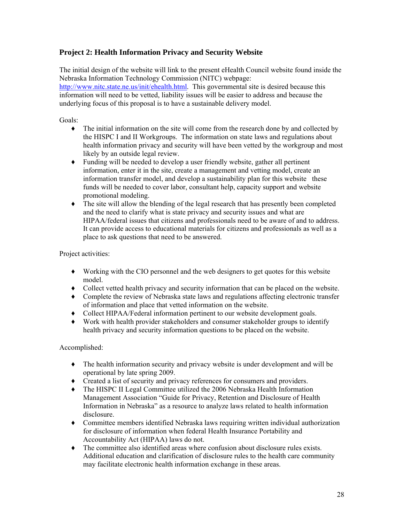## **Project 2: Health Information Privacy and Security Website**

The initial design of the website will link to the present eHealth Council website found inside the Nebraska Information Technology Commission (NITC) webpage: <http://www.nitc.state.ne.us/init/ehealth.html>. This governmental site is desired because this information will need to be vetted, liability issues will be easier to address and because the underlying focus of this proposal is to have a sustainable delivery model.

Goals:

- ♦ The initial information on the site will come from the research done by and collected by the HISPC I and II Workgroups. The information on state laws and regulations about health information privacy and security will have been vetted by the workgroup and most likely by an outside legal review.
- ♦ Funding will be needed to develop a user friendly website, gather all pertinent information, enter it in the site, create a management and vetting model, create an information transfer model, and develop a sustainability plan for this website these funds will be needed to cover labor, consultant help, capacity support and website promotional modeling.
- ♦ The site will allow the blending of the legal research that has presently been completed and the need to clarify what is state privacy and security issues and what are HIPAA/federal issues that citizens and professionals need to be aware of and to address. It can provide access to educational materials for citizens and professionals as well as a place to ask questions that need to be answered.

Project activities:

- ♦ Working with the CIO personnel and the web designers to get quotes for this website model.
- ♦ Collect vetted health privacy and security information that can be placed on the website.
- ♦ Complete the review of Nebraska state laws and regulations affecting electronic transfer of information and place that vetted information on the website.
- ♦ Collect HIPAA/Federal information pertinent to our website development goals.
- ♦ Work with health provider stakeholders and consumer stakeholder groups to identify health privacy and security information questions to be placed on the website.

Accomplished:

- ♦ The health information security and privacy website is under development and will be operational by late spring 2009.
- ♦ Created a list of security and privacy references for consumers and providers.
- ♦ The HISPC II Legal Committee utilized the 2006 Nebraska Health Information Management Association "Guide for Privacy, Retention and Disclosure of Health Information in Nebraska" as a resource to analyze laws related to health information disclosure.
- ♦ Committee members identified Nebraska laws requiring written individual authorization for disclosure of information when federal Health Insurance Portability and Accountability Act (HIPAA) laws do not.
- ♦ The committee also identified areas where confusion about disclosure rules exists. Additional education and clarification of disclosure rules to the health care community may facilitate electronic health information exchange in these areas.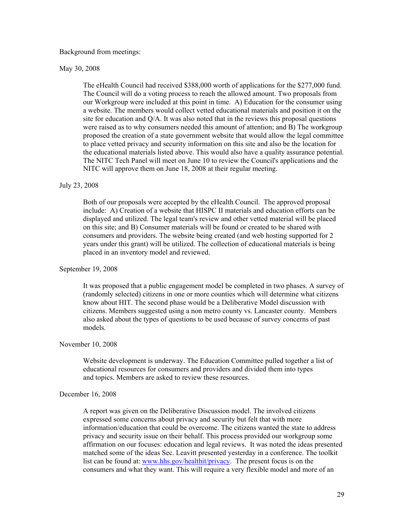Background from meetings:

May 30, 2008

The eHealth Council had received \$388,000 worth of applications for the \$277,000 fund. The Council will do a voting process to reach the allowed amount. Two proposals from our Workgroup were included at this point in time. A) Education for the consumer using a website. The members would collect vetted educational materials and position it on the site for education and Q/A. It was also noted that in the reviews this proposal questions were raised as to why consumers needed this amount of attention; and B) The workgroup proposed the creation of a state government website that would allow the legal committee to place vetted privacy and security information on this site and also be the location for the educational materials listed above. This would also have a quality assurance potential. The NITC Tech Panel will meet on June 10 to review the Council's applications and the NITC will approve them on June 18, 2008 at their regular meeting.

#### July 23, 2008

Both of our proposals were accepted by the eHealth Council. The approved proposal include: A) Creation of a website that HISPC II materials and education efforts can be displayed and utilized. The legal team's review and other vetted material will be placed on this site; and B) Consumer materials will be found or created to be shared with consumers and providers. The website being created (and web hosting supported for 2 years under this grant) will be utilized. The collection of educational materials is being placed in an inventory model and reviewed.

#### September 19, 2008

It was proposed that a public engagement model be completed in two phases. A survey of (randomly selected) citizens in one or more counties which will determine what citizens know about HIT. The second phase would be a Deliberative Model discussion with citizens. Members suggested using a non metro county vs. Lancaster county. Members also asked about the types of questions to be used because of survey concerns of past models.

#### November 10, 2008

Website development is underway. The Education Committee pulled together a list of educational resources for consumers and providers and divided them into types and topics. Members are asked to review these resources.

#### December 16, 2008

A report was given on the Deliberative Discussion model. The involved citizens expressed some concerns about privacy and security but felt that with more information/education that could be overcome. The citizens wanted the state to address privacy and security issue on their behalf. This process provided our workgroup some affirmation on our focuses: education and legal reviews. It was noted the ideas presented matched some of the ideas Sec. Leavitt presented yesterday in a conference. The toolkit list can be found at: [www.hhs.gov/healthit/privacy.](http://www.hhs.gov/healthit/privacy) The present focus is on the consumers and what they want. This will require a very flexible model and more of an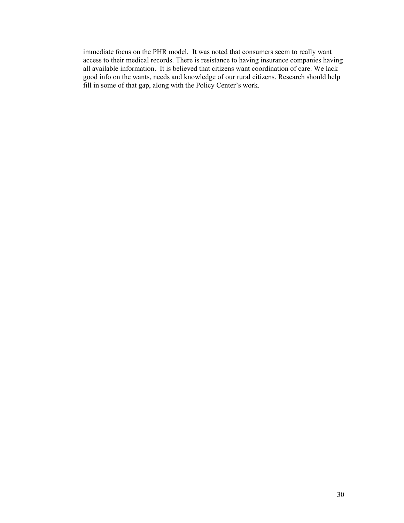immediate focus on the PHR model. It was noted that consumers seem to really want access to their medical records. There is resistance to having insurance companies having all available information. It is believed that citizens want coordination of care. We lack good info on the wants, needs and knowledge of our rural citizens. Research should help fill in some of that gap, along with the Policy Center's work.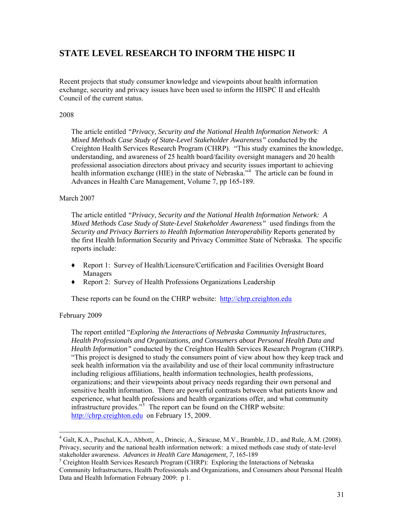## **STATE LEVEL RESEARCH TO INFORM THE HISPC II**

Recent projects that study consumer knowledge and viewpoints about health information exchange, security and privacy issues have been used to inform the HISPC II and eHealth Council of the current status.

#### 2008

The article entitled *"Privacy, Security and the National Health Information Network: A Mixed Methods Case Study of State-Level Stakeholder Awareness"* conducted by the Creighton Health Services Research Program (CHRP). "This study examines the knowledge, understanding, and awareness of 25 health board/facility oversight managers and 20 health professional association directors about privacy and security issues important to achieving health information exchange (HIE) in the state of Nebraska."<sup>[4](#page-30-0)</sup> The article can be found in Advances in Health Care Management, Volume 7, pp 165-189.

#### March 2007

The article entitled *"Privacy, Security and the National Health Information Network: A Mixed Methods Case Study of State-Level Stakeholder Awareness"* used findings from the *Security and Privacy Barriers to Health Information Interoperability* Reports generated by the first Health Information Security and Privacy Committee State of Nebraska. The specific reports include:

- ♦ Report 1: Survey of Health/Licensure/Certification and Facilities Oversight Board Managers
- ♦ Report 2: Survey of Health Professions Organizations Leadership

These reports can be found on the CHRP website: [http://chrp.creighton.edu](http://chrp.creighton.edu/)

#### February 2009

 $\overline{a}$ 

The report entitled "*Exploring the Interactions of Nebraska Community Infrastructures, Health Professionals and Organizations, and Consumers about Personal Health Data and Health Information"* conducted by the Creighton Health Services Research Program (CHRP). "This project is designed to study the consumers point of view about how they keep track and seek health information via the availability and use of their local community infrastructure including religious affiliations, health information technologies, health professions, organizations; and their viewpoints about privacy needs regarding their own personal and sensitive health information. There are powerful contrasts between what patients know and experience, what health professions and health organizations offer, and what community infrastructure provides. $\mathbb{R}^5$  $\mathbb{R}^5$  The report can be found on the CHRP website: [http://chrp.creighton.edu](http://chrp.creighton.edu/) on February 15, 2009.

<span id="page-30-0"></span><sup>&</sup>lt;sup>4</sup> Galt, K.A., Paschal, K.A., Abbott, A., Drincic, A., Siracuse, M.V., Bramble, J.D., and Rule, A.M. (2008). Privacy, security and the national health information network: a mixed methods case study of state-level stakeholder awareness. *Advances in Health Care Management, 7, 165-189* 

<span id="page-30-1"></span> $5$  Creighton Health Services Research Program (CHRP): Exploring the Interactions of Nebraska Community Infrastructures, Health Professionals and Organizations, and Consumers about Personal Health Data and Health Information February 2009: p 1.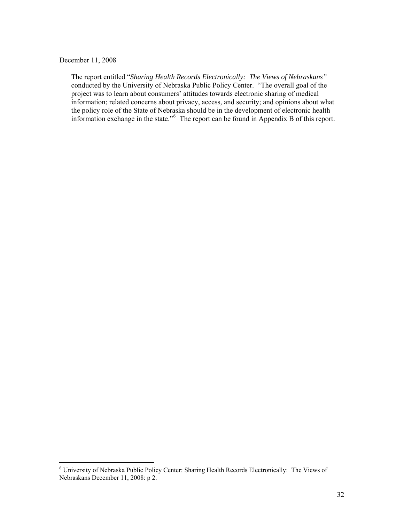#### December 11, 2008

The report entitled "*Sharing Health Records Electronically: The Views of Nebraskans"* conducted by the University of Nebraska Public Policy Center. "The overall goal of the project was to learn about consumers' attitudes towards electronic sharing of medical information; related concerns about privacy, access, and security; and opinions about what the policy role of the State of Nebraska should be in the development of electronic health information exchange in the state."[6](#page-31-0) The report can be found in Appendix B of this report.

<span id="page-31-0"></span> 6 University of Nebraska Public Policy Center: Sharing Health Records Electronically: The Views of Nebraskans December 11, 2008: p 2.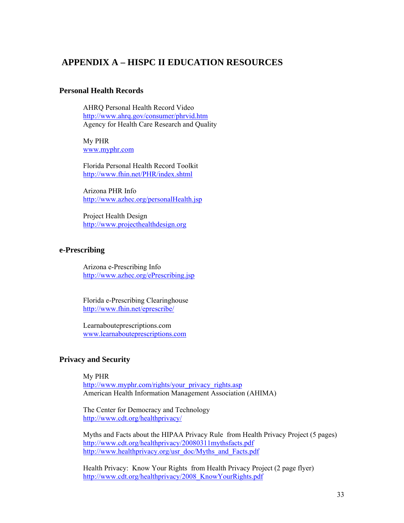## **APPENDIX A – HISPC II EDUCATION RESOURCES**

#### **Personal Health Records**

AHRQ Personal Health Record Video <http://www.ahrq.gov/consumer/phrvid.htm> Agency for Health Care Research and Quality

My PHR [www.myphr.com](http://www.myphr.com/)

Florida Personal Health Record Toolkit <http://www.fhin.net/PHR/index.shtml>

Arizona PHR Info <http://www.azhec.org/personalHealth.jsp>

Project Health Design [http://www.projecthealthdesign.org](http://www.projecthealthdesign.org/)

#### **e-Prescribing**

Arizona e-Prescribing Info <http://www.azhec.org/ePrescribing.jsp>

Florida e-Prescribing Clearinghouse <http://www.fhin.net/eprescribe/>

Learnabouteprescriptions.com [www.learnabouteprescriptions.com](http://www.learnabouteprescriptions.com/)

### **Privacy and Security**

My PHR

[http://www.myphr.com/rights/your\\_privacy\\_rights.asp](http://www.myphr.com/rights/your_privacy_rights.asp) American Health Information Management Association (AHIMA)

The Center for Democracy and Technology <http://www.cdt.org/healthprivacy/>

Myths and Facts about the HIPAA Privacy Rule from Health Privacy Project (5 pages) <http://www.cdt.org/healthprivacy/20080311mythsfacts.pdf> [http://www.healthprivacy.org/usr\\_doc/Myths\\_and\\_Facts.pdf](http://www.healthprivacy.org/usr_doc/Myths_and_Facts.pdf)

Health Privacy: Know Your Rights from Health Privacy Project (2 page flyer) [http://www.cdt.org/healthprivacy/2008\\_KnowYourRights.pdf](http://www.cdt.org/healthprivacy/2008_KnowYourRights.pdf)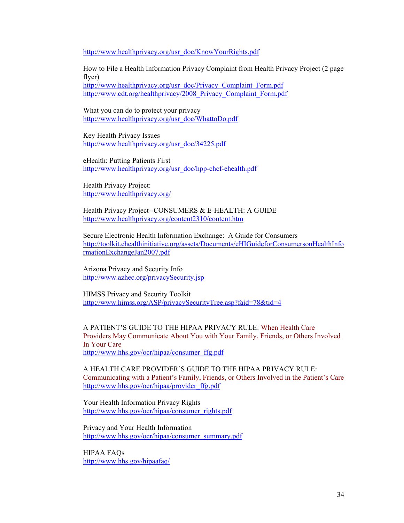[http://www.healthprivacy.org/usr\\_doc/KnowYourRights.pdf](http://www.healthprivacy.org/usr_doc/KnowYourRights.pdf)

How to File a Health Information Privacy Complaint from Health Privacy Project (2 page flyer)

[http://www.healthprivacy.org/usr\\_doc/Privacy\\_Complaint\\_Form.pdf](http://www.healthprivacy.org/usr_doc/Privacy_Complaint_Form.pdf) [http://www.cdt.org/healthprivacy/2008\\_Privacy\\_Complaint\\_Form.pdf](http://www.cdt.org/healthprivacy/2008_Privacy_Complaint_Form.pdf)

What you can do to protect your privacy [http://www.healthprivacy.org/usr\\_doc/WhattoDo.pdf](http://www.healthprivacy.org/usr_doc/WhattoDo.pdf)

Key Health Privacy Issues [http://www.healthprivacy.org/usr\\_doc/34225.pdf](http://www.healthprivacy.org/usr_doc/34225.pdf)

eHealth: Putting Patients First [http://www.healthprivacy.org/usr\\_doc/hpp-chcf-ehealth.pdf](http://www.healthprivacy.org/usr_doc/hpp-chcf-ehealth.pdf)

Health Privacy Project: <http://www.healthprivacy.org/>

Health Privacy Project--CONSUMERS & E-HEALTH: A GUIDE <http://www.healthprivacy.org/content2310/content.htm>

Secure Electronic Health Information Exchange: A Guide for Consumers [http://toolkit.ehealthinitiative.org/assets/Documents/eHIGuideforConsumersonHealthInfo](http://toolkit.ehealthinitiative.org/assets/Documents/eHIGuideforConsumersonHealthInformationExchangeJan2007.pdf) [rmationExchangeJan2007.pdf](http://toolkit.ehealthinitiative.org/assets/Documents/eHIGuideforConsumersonHealthInformationExchangeJan2007.pdf)

Arizona Privacy and Security Info <http://www.azhec.org/privacySecurity.jsp>

HIMSS Privacy and Security Toolkit <http://www.himss.org/ASP/privacySecurityTree.asp?faid=78&tid=4>

A PATIENT'S GUIDE TO THE HIPAA PRIVACY RULE: When Health Care Providers May Communicate About You with Your Family, Friends, or Others Involved In Your Care [http://www.hhs.gov/ocr/hipaa/consumer\\_ffg.pdf](http://www.hhs.gov/ocr/hipaa/consumer_ffg.pdf)

A HEALTH CARE PROVIDER'S GUIDE TO THE HIPAA PRIVACY RULE: Communicating with a Patient's Family, Friends, or Others Involved in the Patient's Care [http://www.hhs.gov/ocr/hipaa/provider\\_ffg.pdf](http://www.hhs.gov/ocr/hipaa/provider_ffg.pdf)

Your Health Information Privacy Rights [http://www.hhs.gov/ocr/hipaa/consumer\\_rights.pdf](http://www.hhs.gov/ocr/hipaa/consumer_rights.pdf)

Privacy and Your Health Information [http://www.hhs.gov/ocr/hipaa/consumer\\_summary.pdf](http://www.hhs.gov/ocr/hipaa/consumer_summary.pdf)

HIPAA FAQs <http://www.hhs.gov/hipaafaq/>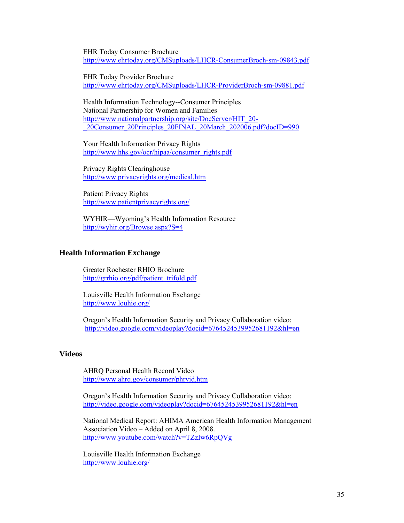EHR Today Consumer Brochure <http://www.ehrtoday.org/CMSuploads/LHCR-ConsumerBroch-sm-09843.pdf>

EHR Today Provider Brochure <http://www.ehrtoday.org/CMSuploads/LHCR-ProviderBroch-sm-09881.pdf>

Health Information Technology--Consumer Principles National Partnership for Women and Families [http://www.nationalpartnership.org/site/DocServer/HIT\\_20-](http://www.nationalpartnership.org/site/DocServer/HIT_20-_20Consumer_20Principles_20FINAL_20March_202006.pdf?docID=990) [\\_20Consumer\\_20Principles\\_20FINAL\\_20March\\_202006.pdf?docID=990](http://www.nationalpartnership.org/site/DocServer/HIT_20-_20Consumer_20Principles_20FINAL_20March_202006.pdf?docID=990)

Your Health Information Privacy Rights [http://www.hhs.gov/ocr/hipaa/consumer\\_rights.pdf](http://www.hhs.gov/ocr/hipaa/consumer_rights.pdf)

Privacy Rights Clearinghouse <http://www.privacyrights.org/medical.htm>

Patient Privacy Rights <http://www.patientprivacyrights.org/>

WYHIR—Wyoming's Health Information Resource <http://wyhir.org/Browse.aspx?S=4>

#### **Health Information Exchange**

Greater Rochester RHIO Brochure [http://grrhio.org/pdf/patient\\_trifold.pdf](http://grrhio.org/pdf/patient_trifold.pdf)

Louisville Health Information Exchange <http://www.louhie.org/>

Oregon's Health Information Security and Privacy Collaboration video: <http://video.google.com/videoplay?docid=6764524539952681192&hl=en>

### **Videos**

AHRQ Personal Health Record Video <http://www.ahrq.gov/consumer/phrvid.htm>

Oregon's Health Information Security and Privacy Collaboration video: <http://video.google.com/videoplay?docid=6764524539952681192&hl=en>

National Medical Report: AHIMA American Health Information Management Association Video – Added on April 8, 2008. <http://www.youtube.com/watch?v=TZzIw6RpQVg>

Louisville Health Information Exchange <http://www.louhie.org/>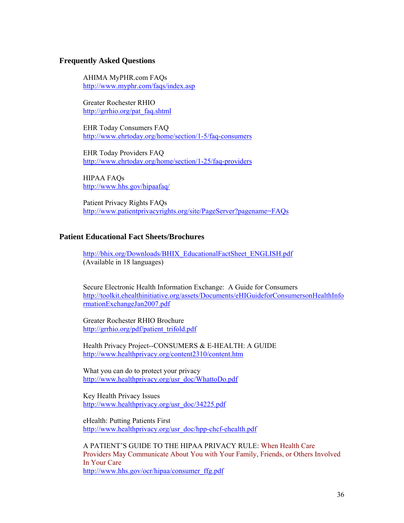#### **Frequently Asked Questions**

AHIMA MyPHR.com FAQs <http://www.myphr.com/faqs/index.asp>

Greater Rochester RHIO [http://grrhio.org/pat\\_faq.shtml](http://grrhio.org/pat_faq.shtml)

EHR Today Consumers FAQ <http://www.ehrtoday.org/home/section/1-5/faq-consumers>

EHR Today Providers FAQ <http://www.ehrtoday.org/home/section/1-25/faq-providers>

HIPAA FAQs <http://www.hhs.gov/hipaafaq/>

Patient Privacy Rights FAQs <http://www.patientprivacyrights.org/site/PageServer?pagename=FAQs>

## **Patient Educational Fact Sheets/Brochures**

[http://bhix.org/Downloads/BHIX\\_EducationalFactSheet\\_ENGLISH.pdf](http://bhix.org/Downloads/BHIX_EducationalFactSheet_ENGLISH.pdf) (Available in 18 languages)

Secure Electronic Health Information Exchange: A Guide for Consumers [http://toolkit.ehealthinitiative.org/assets/Documents/eHIGuideforConsumersonHealthInfo](http://toolkit.ehealthinitiative.org/assets/Documents/eHIGuideforConsumersonHealthInformationExchangeJan2007.pdf) [rmationExchangeJan2007.pdf](http://toolkit.ehealthinitiative.org/assets/Documents/eHIGuideforConsumersonHealthInformationExchangeJan2007.pdf)

Greater Rochester RHIO Brochure [http://grrhio.org/pdf/patient\\_trifold.pdf](http://grrhio.org/pdf/patient_trifold.pdf)

Health Privacy Project--CONSUMERS & E-HEALTH: A GUIDE <http://www.healthprivacy.org/content2310/content.htm>

What you can do to protect your privacy [http://www.healthprivacy.org/usr\\_doc/WhattoDo.pdf](http://www.healthprivacy.org/usr_doc/WhattoDo.pdf)

Key Health Privacy Issues [http://www.healthprivacy.org/usr\\_doc/34225.pdf](http://www.healthprivacy.org/usr_doc/34225.pdf)

eHealth: Putting Patients First [http://www.healthprivacy.org/usr\\_doc/hpp-chcf-ehealth.pdf](http://www.healthprivacy.org/usr_doc/hpp-chcf-ehealth.pdf)

A PATIENT'S GUIDE TO THE HIPAA PRIVACY RULE: When Health Care Providers May Communicate About You with Your Family, Friends, or Others Involved In Your Care [http://www.hhs.gov/ocr/hipaa/consumer\\_ffg.pdf](http://www.hhs.gov/ocr/hipaa/consumer_ffg.pdf)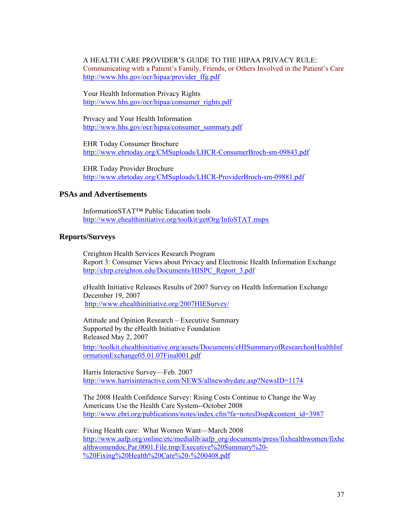A HEALTH CARE PROVIDER'S GUIDE TO THE HIPAA PRIVACY RULE: Communicating with a Patient's Family, Friends, or Others Involved in the Patient's Care [http://www.hhs.gov/ocr/hipaa/provider\\_ffg.pdf](http://www.hhs.gov/ocr/hipaa/provider_ffg.pdf)

Your Health Information Privacy Rights [http://www.hhs.gov/ocr/hipaa/consumer\\_rights.pdf](http://www.hhs.gov/ocr/hipaa/consumer_rights.pdf)

Privacy and Your Health Information [http://www.hhs.gov/ocr/hipaa/consumer\\_summary.pdf](http://www.hhs.gov/ocr/hipaa/consumer_summary.pdf)

EHR Today Consumer Brochure <http://www.ehrtoday.org/CMSuploads/LHCR-ConsumerBroch-sm-09843.pdf>

EHR Today Provider Brochure <http://www.ehrtoday.org/CMSuploads/LHCR-ProviderBroch-sm-09881.pdf>

#### **PSAs and Advertisements**

InformationSTAT™ Public Education tools <http://www.ehealthinitiative.org/toolkit/getOrg/InfoSTAT.mspx>

#### **Reports/Surveys**

Creighton Health Services Research Program Report 3: Consumer Views about Privacy and Electronic Health Information Exchange [http://chrp.creighton.edu/Documents/HISPC\\_Report\\_3.pdf](http://chrp.creighton.edu/Documents/HISPC_Report_3.pdf)

eHealth Initiative Releases Results of 2007 Survey on Health Information Exchange December 19, 2007 <http://www.ehealthinitiative.org/2007HIESurvey/>

Attitude and Opinion Research – Executive Summary Supported by the eHealth Initiative Foundation Released May 2, 2007 [http://toolkit.ehealthinitiative.org/assets/Documents/eHISummaryofResearchonHealthInf](http://toolkit.ehealthinitiative.org/assets/Documents/eHISummaryofResearchonHealthInformationExchange05.01.07Final001.pdf) [ormationExchange05.01.07Final001.pdf](http://toolkit.ehealthinitiative.org/assets/Documents/eHISummaryofResearchonHealthInformationExchange05.01.07Final001.pdf)

Harris Interactive Survey—Feb. 2007 <http://www.harrisinteractive.com/NEWS/allnewsbydate.asp?NewsID=1174>

The 2008 Health Confidence Survey: Rising Costs Continue to Change the Way Americans Use the Health Care System--October 2008 [http://www.ebri.org/publications/notes/index.cfm?fa=notesDisp&content\\_id=3987](http://www.ebri.org/publications/notes/index.cfm?fa=notesDisp&content_id=3987)

Fixing Health care: What Women Want—March 2008 [http://www.aafp.org/online/etc/medialib/aafp\\_org/documents/press/fixhealthwomen/fixhe](http://www.aafp.org/online/etc/medialib/aafp_org/documents/press/fixhealthwomen/fixhealthwomendoc.Par.0001.File.tmp/Executive%20Summary%20-%20Fixing%20Health%20Care%20-%200408.pdf) [althwomendoc.Par.0001.File.tmp/Executive%20Summary%20-](http://www.aafp.org/online/etc/medialib/aafp_org/documents/press/fixhealthwomen/fixhealthwomendoc.Par.0001.File.tmp/Executive%20Summary%20-%20Fixing%20Health%20Care%20-%200408.pdf) [%20Fixing%20Health%20Care%20-%200408.pdf](http://www.aafp.org/online/etc/medialib/aafp_org/documents/press/fixhealthwomen/fixhealthwomendoc.Par.0001.File.tmp/Executive%20Summary%20-%20Fixing%20Health%20Care%20-%200408.pdf)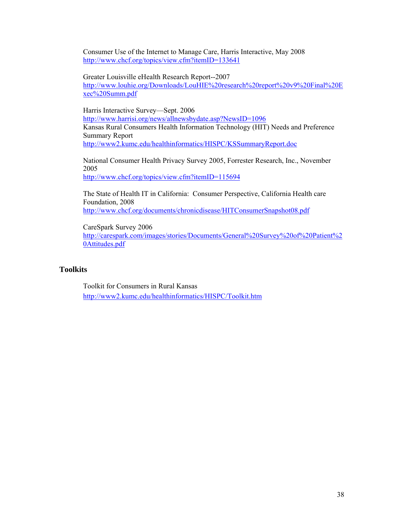Consumer Use of the Internet to Manage Care, Harris Interactive, May 2008 <http://www.chcf.org/topics/view.cfm?itemID=133641>

Greater Louisville eHealth Research Report--2007 [http://www.louhie.org/Downloads/LouHIE%20research%20report%20v9%20Final%20E](http://www.louhie.org/Downloads/LouHIE%20research%20report%20v9%20Final%20Exec%20Summ.pdf) [xec%20Summ.pdf](http://www.louhie.org/Downloads/LouHIE%20research%20report%20v9%20Final%20Exec%20Summ.pdf)

Harris Interactive Survey—Sept. 2006 <http://www.harrisi.org/news/allnewsbydate.asp?NewsID=1096> Kansas Rural Consumers Health Information Technology (HIT) Needs and Preference Summary Report <http://www2.kumc.edu/healthinformatics/HISPC/KSSummaryReport.doc>

National Consumer Health Privacy Survey 2005, Forrester Research, Inc., November 2005 <http://www.chcf.org/topics/view.cfm?itemID=115694>

The State of Health IT in California: Consumer Perspective, California Health care Foundation, 2008 <http://www.chcf.org/documents/chronicdisease/HITConsumerSnapshot08.pdf>

CareSpark Survey 2006 [http://carespark.com/images/stories/Documents/General%20Survey%20of%20Patient%2](http://carespark.com/images/stories/Documents/General%20Survey%20of%20Patient%20Attitudes.pdf) [0Attitudes.pdf](http://carespark.com/images/stories/Documents/General%20Survey%20of%20Patient%20Attitudes.pdf)

## **Toolkits**

Toolkit for Consumers in Rural Kansas <http://www2.kumc.edu/healthinformatics/HISPC/Toolkit.htm>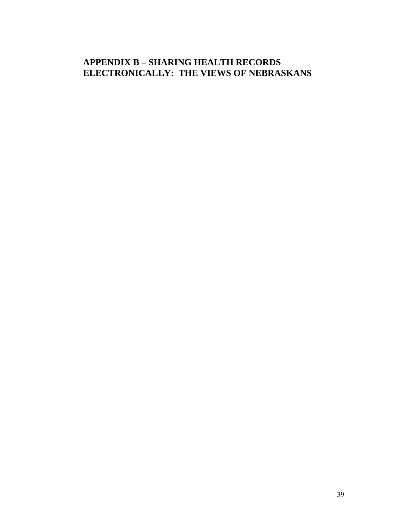# **APPENDIX B – SHARING HEALTH RECORDS ELECTRONICALLY: THE VIEWS OF NEBRASKANS**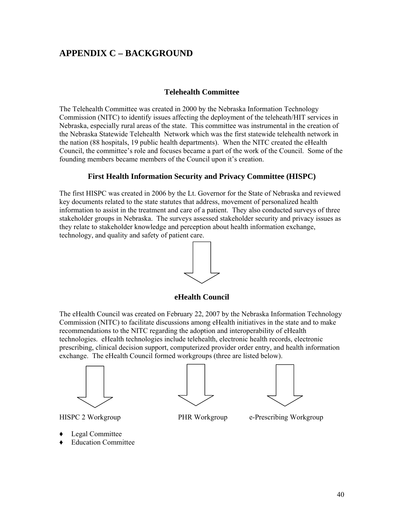# **APPENDIX C – BACKGROUND**

## **Telehealth Committee**

The Telehealth Committee was created in 2000 by the Nebraska Information Technology Commission (NITC) to identify issues affecting the deployment of the teleheath/HIT services in Nebraska, especially rural areas of the state. This committee was instrumental in the creation of the Nebraska Statewide Telehealth Network which was the first statewide telehealth network in the nation (88 hospitals, 19 public health departments). When the NITC created the eHealth Council, the committee's role and focuses became a part of the work of the Council. Some of the founding members became members of the Council upon it's creation.

## **First Health Information Security and Privacy Committee (HISPC)**

The first HISPC was created in 2006 by the Lt. Governor for the State of Nebraska and reviewed key documents related to the state statutes that address, movement of personalized health information to assist in the treatment and care of a patient. They also conducted surveys of three stakeholder groups in Nebraska. The surveys assessed stakeholder security and privacy issues as they relate to stakeholder knowledge and perception about health information exchange, technology, and quality and safety of patient care.



**eHealth Council** 

The eHealth Council was created on February 22, 2007 by the Nebraska Information Technology Commission (NITC) to facilitate discussions among eHealth initiatives in the state and to make recommendations to the NITC regarding the adoption and interoperability of eHealth technologies. eHealth technologies include telehealth, electronic health records, electronic prescribing, clinical decision support, computerized provider order entry, and health information exchange. The eHealth Council formed workgroups (three are listed below).





HISPC 2 Workgroup PHR Workgroup e-Prescribing Workgroup

- **Legal Committee**
- ♦ Education Committee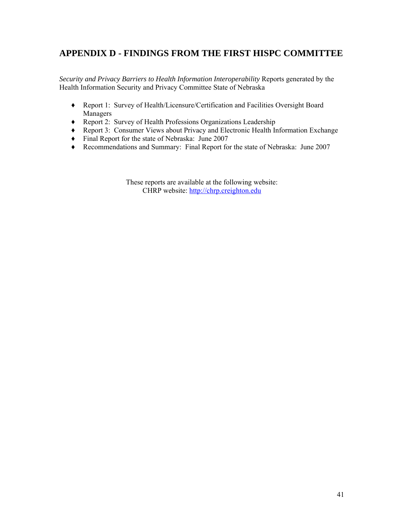# **APPENDIX D - FINDINGS FROM THE FIRST HISPC COMMITTEE**

*Security and Privacy Barriers to Health Information Interoperability* Reports generated by the Health Information Security and Privacy Committee State of Nebraska

- ♦ Report 1: Survey of Health/Licensure/Certification and Facilities Oversight Board Managers
- ♦ Report 2: Survey of Health Professions Organizations Leadership
- ♦ Report 3: Consumer Views about Privacy and Electronic Health Information Exchange
- ♦ Final Report for the state of Nebraska: June 2007
- ♦ Recommendations and Summary: Final Report for the state of Nebraska: June 2007

These reports are available at the following website: CHRP website: [http://chrp.creighton.edu](http://chrp.creighton.edu/)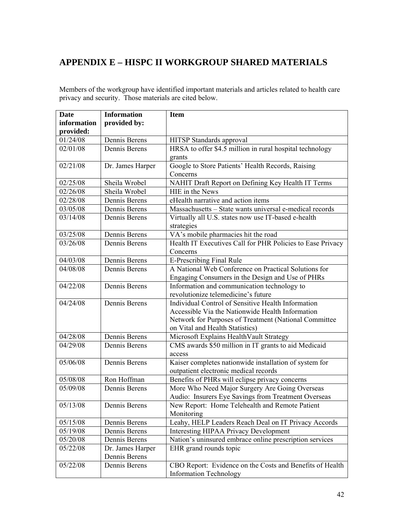# **APPENDIX E – HISPC II WORKGROUP SHARED MATERIALS**

Members of the workgroup have identified important materials and articles related to health care privacy and security. Those materials are cited below.

| <b>Date</b> | <b>Information</b> | <b>Item</b>                                                |
|-------------|--------------------|------------------------------------------------------------|
| information | provided by:       |                                                            |
| provided:   |                    |                                                            |
| 01/24/08    | Dennis Berens      | HITSP Standards approval                                   |
| 02/01/08    | Dennis Berens      | HRSA to offer \$4.5 million in rural hospital technology   |
|             |                    | grants                                                     |
| 02/21/08    | Dr. James Harper   | Google to Store Patients' Health Records, Raising          |
|             |                    | Concerns                                                   |
| 02/25/08    | Sheila Wrobel      | NAHIT Draft Report on Defining Key Health IT Terms         |
| 02/26/08    | Sheila Wrobel      | HIE in the News                                            |
| 02/28/08    | Dennis Berens      | eHealth narrative and action items                         |
| 03/05/08    | Dennis Berens      | Massachusetts - State wants universal e-medical records    |
| 03/14/08    | Dennis Berens      | Virtually all U.S. states now use IT-based e-health        |
|             |                    | strategies                                                 |
| 03/25/08    | Dennis Berens      | VA's mobile pharmacies hit the road                        |
| 03/26/08    | Dennis Berens      | Health IT Executives Call for PHR Policies to Ease Privacy |
|             |                    | Concerns                                                   |
| 04/03/08    | Dennis Berens      | <b>E-Prescribing Final Rule</b>                            |
| 04/08/08    | Dennis Berens      | A National Web Conference on Practical Solutions for       |
|             |                    | Engaging Consumers in the Design and Use of PHRs           |
| 04/22/08    | Dennis Berens      | Information and communication technology to                |
|             |                    | revolutionize telemedicine's future                        |
| 04/24/08    | Dennis Berens      | Individual Control of Sensitive Health Information         |
|             |                    | Accessible Via the Nationwide Health Information           |
|             |                    | Network for Purposes of Treatment (National Committee      |
|             |                    | on Vital and Health Statistics)                            |
| 04/28/08    | Dennis Berens      | Microsoft Explains HealthVault Strategy                    |
| 04/29/08    | Dennis Berens      | CMS awards \$50 million in IT grants to aid Medicaid       |
|             |                    | access                                                     |
| 05/06/08    | Dennis Berens      | Kaiser completes nationwide installation of system for     |
|             |                    | outpatient electronic medical records                      |
| 05/08/08    | Ron Hoffman        | Benefits of PHRs will eclipse privacy concerns             |
| 05/09/08    | Dennis Berens      | More Who Need Major Surgery Are Going Overseas             |
|             |                    | Audio: Insurers Eye Savings from Treatment Overseas        |
| 05/13/08    | Dennis Berens      | New Report: Home Telehealth and Remote Patient             |
|             |                    | Monitoring                                                 |
| 05/15/08    | Dennis Berens      | Leahy, HELP Leaders Reach Deal on IT Privacy Accords       |
| 05/19/08    | Dennis Berens      | <b>Interesting HIPAA Privacy Development</b>               |
| 05/20/08    | Dennis Berens      | Nation's uninsured embrace online prescription services    |
| 05/22/08    | Dr. James Harper   | EHR grand rounds topic                                     |
|             | Dennis Berens      |                                                            |
| 05/22/08    | Dennis Berens      | CBO Report: Evidence on the Costs and Benefits of Health   |
|             |                    | <b>Information Technology</b>                              |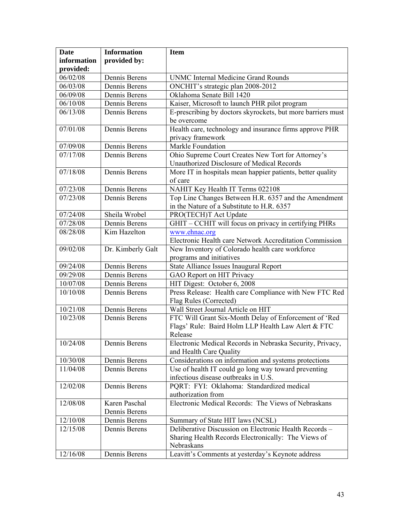| Date        | <b>Information</b> | <b>Item</b>                                                 |
|-------------|--------------------|-------------------------------------------------------------|
| information | provided by:       |                                                             |
| provided:   |                    |                                                             |
| 06/02/08    | Dennis Berens      | <b>UNMC Internal Medicine Grand Rounds</b>                  |
| 06/03/08    | Dennis Berens      | ONCHIT's strategic plan 2008-2012                           |
| 06/09/08    | Dennis Berens      | Oklahoma Senate Bill 1420                                   |
| 06/10/08    | Dennis Berens      | Kaiser, Microsoft to launch PHR pilot program               |
| 06/13/08    | Dennis Berens      | E-prescribing by doctors skyrockets, but more barriers must |
|             |                    | be overcome                                                 |
| 07/01/08    | Dennis Berens      | Health care, technology and insurance firms approve PHR     |
|             |                    | privacy framework                                           |
| 07/09/08    | Dennis Berens      | Markle Foundation                                           |
| 07/17/08    | Dennis Berens      | Ohio Supreme Court Creates New Tort for Attorney's          |
|             |                    | Unauthorized Disclosure of Medical Records                  |
| 07/18/08    | Dennis Berens      | More IT in hospitals mean happier patients, better quality  |
|             |                    | of care                                                     |
| 07/23/08    | Dennis Berens      | NAHIT Key Health IT Terms 022108                            |
| 07/23/08    | Dennis Berens      | Top Line Changes Between H.R. 6357 and the Amendment        |
|             |                    | in the Nature of a Substitute to H.R. 6357                  |
| 07/24/08    | Sheila Wrobel      | PRO(TECH)T Act Update                                       |
| 07/28/08    | Dennis Berens      | GHIT - CCHIT will focus on privacy in certifying PHRs       |
| 08/28/08    | Kim Hazelton       | www.ehnac.org                                               |
|             |                    | Electronic Health care Network Accreditation Commission     |
| 09/02/08    | Dr. Kimberly Galt  | New Inventory of Colorado health care workforce             |
|             |                    | programs and initiatives                                    |
| 09/24/08    | Dennis Berens      | State Alliance Issues Inaugural Report                      |
| 09/29/08    | Dennis Berens      | GAO Report on HIT Privacy                                   |
| 10/07/08    | Dennis Berens      | HIT Digest: October 6, 2008                                 |
| 10/10/08    | Dennis Berens      | Press Release: Health care Compliance with New FTC Red      |
|             |                    | Flag Rules (Corrected)                                      |
| 10/21/08    | Dennis Berens      | Wall Street Journal Article on HIT                          |
| 10/23/08    | Dennis Berens      | FTC Will Grant Six-Month Delay of Enforcement of 'Red       |
|             |                    | Flags' Rule: Baird Holm LLP Health Law Alert & FTC          |
|             |                    | Release                                                     |
| 10/24/08    | Dennis Berens      | Electronic Medical Records in Nebraska Security, Privacy,   |
|             |                    | and Health Care Quality                                     |
| 10/30/08    | Dennis Berens      | Considerations on information and systems protections       |
| 11/04/08    | Dennis Berens      | Use of health IT could go long way toward preventing        |
|             |                    | infectious disease outbreaks in U.S.                        |
| 12/02/08    | Dennis Berens      | PQRT: FYI: Oklahoma: Standardized medical                   |
|             |                    | authorization from                                          |
| 12/08/08    | Karen Paschal      | Electronic Medical Records: The Views of Nebraskans         |
|             | Dennis Berens      |                                                             |
| 12/10/08    | Dennis Berens      | Summary of State HIT laws (NCSL)                            |
| 12/15/08    | Dennis Berens      | Deliberative Discussion on Electronic Health Records -      |
|             |                    | Sharing Health Records Electronically: The Views of         |
|             |                    | Nebraskans                                                  |
| 12/16/08    | Dennis Berens      | Leavitt's Comments at yesterday's Keynote address           |